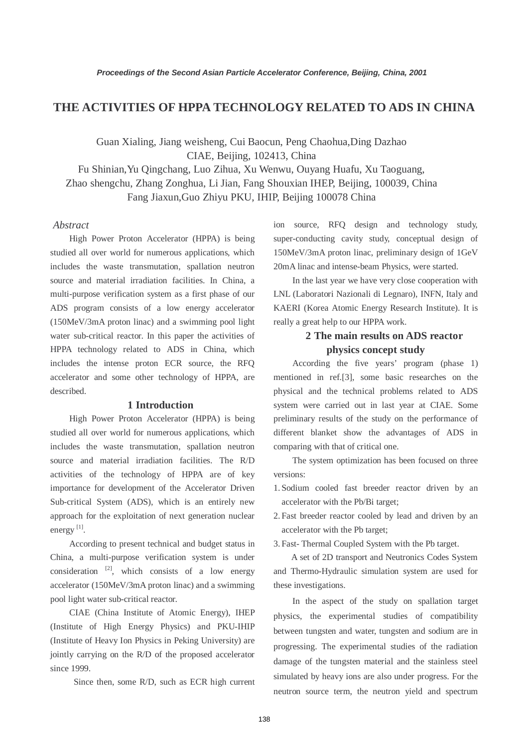# **THE ACTIVITIES OF HPPA TECHNOLOGY RELATED TO ADS IN CHINA**

Guan Xialing, Jiang weisheng, Cui Baocun, Peng Chaohua,Ding Dazhao CIAE, Beijing, 102413, China

Fu Shinian,Yu Qingchang, Luo Zihua, Xu Wenwu, Ouyang Huafu, Xu Taoguang, Zhao shengchu, Zhang Zonghua, Li Jian, Fang Shouxian IHEP, Beijing, 100039, China Fang Jiaxun,Guo Zhiyu PKU, IHIP, Beijing 100078 China

### *Abstract*

High Power Proton Accelerator (HPPA) is being studied all over world for numerous applications, which includes the waste transmutation, spallation neutron source and material irradiation facilities. In China, a multi-purpose verification system as a first phase of our ADS program consists of a low energy accelerator (150MeV/3mA proton linac) and a swimming pool light water sub-critical reactor. In this paper the activities of HPPA technology related to ADS in China, which includes the intense proton ECR source, the RFQ accelerator and some other technology of HPPA, are described.

# **1 Introduction**

High Power Proton Accelerator (HPPA) is being studied all over world for numerous applications, which includes the waste transmutation, spallation neutron source and material irradiation facilities. The R/D activities of the technology of HPPA are of key importance for development of the Accelerator Driven Sub-critical System (ADS), which is an entirely new approach for the exploitation of next generation nuclear energy<sup>[1]</sup>.

According to present technical and budget status in China, a multi-purpose verification system is under consideration  $[2]$ , which consists of a low energy accelerator (150MeV/3mA proton linac) and a swimming pool light water sub-critical reactor.

CIAE (China Institute of Atomic Energy), IHEP (Institute of High Energy Physics) and PKU-IHIP (Institute of Heavy Ion Physics in Peking University) are jointly carrying on the R/D of the proposed accelerator since 1999.

Since then, some R/D, such as ECR high current

ion source, RFQ design and technology study, super-conducting cavity study, conceptual design of 150MeV/3mA proton linac, preliminary design of 1GeV 20mA linac and intense-beam Physics, were started.

In the last year we have very close cooperation with LNL (Laboratori Nazionali di Legnaro), INFN, Italy and KAERI (Korea Atomic Energy Research Institute). It is really a great help to our HPPA work.

# **2 The main results on ADS reactor physics concept study**

According the five years' program (phase 1) mentioned in ref.[3], some basic researches on the physical and the technical problems related to ADS system were carried out in last year at CIAE. Some preliminary results of the study on the performance of different blanket show the advantages of ADS in comparing with that of critical one.

The system optimization has been focused on three versions:

- 1. Sodium cooled fast breeder reactor driven by an accelerator with the Pb/Bi target;
- 2. Fast breeder reactor cooled by lead and driven by an accelerator with the Pb target;

3. Fast- Thermal Coupled System with the Pb target.

 A set of 2D transport and Neutronics Codes System and Thermo-Hydraulic simulation system are used for these investigations.

In the aspect of the study on spallation target physics, the experimental studies of compatibility between tungsten and water, tungsten and sodium are in progressing. The experimental studies of the radiation damage of the tungsten material and the stainless steel simulated by heavy ions are also under progress. For the neutron source term, the neutron yield and spectrum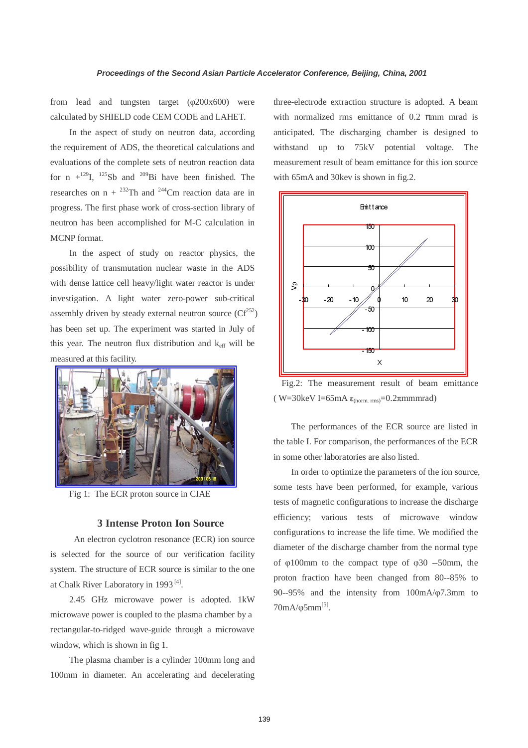from lead and tungsten target (φ200x600) were calculated by SHIELD code CEM CODE and LAHET.

In the aspect of study on neutron data, according the requirement of ADS, the theoretical calculations and evaluations of the complete sets of neutron reaction data for n  $+^{129}$ I,  $^{125}$ Sb and  $^{209}$ Bi have been finished. The researches on  $n + {}^{232}Th$  and  ${}^{244}Cm$  reaction data are in progress. The first phase work of cross-section library of neutron has been accomplished for M-C calculation in MCNP format.

In the aspect of study on reactor physics, the possibility of transmutation nuclear waste in the ADS with dense lattice cell heavy/light water reactor is under investigation. A light water zero-power sub-critical assembly driven by steady external neutron source  $(Cf^{252})$ has been set up. The experiment was started in July of this year. The neutron flux distribution and  $k_{\text{eff}}$  will be measured at this facility.



Fig 1: The ECR proton source in CIAE

# **3 Intense Proton Ion Source**

An electron cyclotron resonance (ECR) ion source is selected for the source of our verification facility system. The structure of ECR source is similar to the one at Chalk River Laboratory in 1993 [4].

2.45 GHz microwave power is adopted. 1kW microwave power is coupled to the plasma chamber by a rectangular-to-ridged wave-guide through a microwave window, which is shown in fig 1.

The plasma chamber is a cylinder 100mm long and 100mm in diameter. An accelerating and decelerating three-electrode extraction structure is adopted. A beam with normalized rms emittance of 0.2  $\pi$ mm mrad is anticipated. The discharging chamber is designed to withstand up to 75kV potential voltage. The measurement result of beam emittance for this ion source with 65mA and 30kev is shown in fig.2.



Fig.2: The measurement result of beam emittance (  $W=30$ keV I=65mA  $\varepsilon$ <sub>(norm. rms)</sub>=0.2 $\pi$ mmmrad)

The performances of the ECR source are listed in the table I. For comparison, the performances of the ECR in some other laboratories are also listed.

In order to optimize the parameters of the ion source, some tests have been performed, for example, various tests of magnetic configurations to increase the discharge efficiency; various tests of microwave window configurations to increase the life time. We modified the diameter of the discharge chamber from the normal type of φ100mm to the compact type of φ30 --50mm, the proton fraction have been changed from 80--85% to 90--95% and the intensity from 100mA/φ7.3mm to  $70mA/\varphi 5mm^{[5]}$ .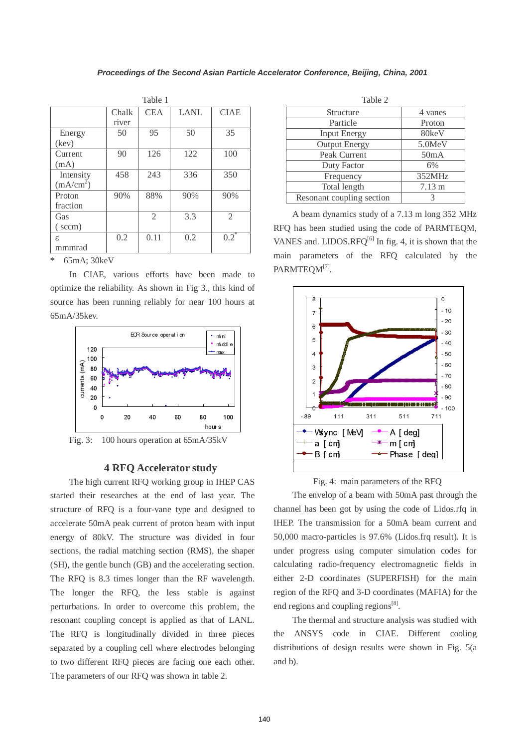| Table 1               |       |                |             |                |  |  |
|-----------------------|-------|----------------|-------------|----------------|--|--|
|                       | Chalk | <b>CEA</b>     | <b>LANL</b> | <b>CIAE</b>    |  |  |
|                       | river |                |             |                |  |  |
| Energy                | 50    | 95             | 50          | 35             |  |  |
| (kev)                 |       |                |             |                |  |  |
| Current               | 90    | 126            | 122         | 100            |  |  |
| (mA)                  |       |                |             |                |  |  |
| Intensity             | 458   | 243            | 336         | 350            |  |  |
| (mA/cm <sup>2</sup> ) |       |                |             |                |  |  |
| Proton                | 90%   | 88%            | 90%         | 90%            |  |  |
| fraction              |       |                |             |                |  |  |
| Gas                   |       | $\mathfrak{D}$ | 3.3         | $\mathfrak{D}$ |  |  |
| (sccm)                |       |                |             |                |  |  |
| ε.                    | 0.2   | 0.11           | 0.2         | $0.2^*$        |  |  |
| mmmrad                |       |                |             |                |  |  |

\* 65mA; 30keV

 In CIAE, various efforts have been made to optimize the reliability. As shown in Fig 3., this kind of source has been running reliably for near 100 hours at 65mA/35kev.



# **4 RFQ Accelerator study**

The high current RFQ working group in IHEP CAS started their researches at the end of last year. The structure of RFQ is a four-vane type and designed to accelerate 50mA peak current of proton beam with input energy of 80kV. The structure was divided in four sections, the radial matching section (RMS), the shaper (SH), the gentle bunch (GB) and the accelerating section. The RFQ is 8.3 times longer than the RF wavelength. The longer the RFQ, the less stable is against perturbations. In order to overcome this problem, the resonant coupling concept is applied as that of LANL. The RFQ is longitudinally divided in three pieces separated by a coupling cell where electrodes belonging to two different RFQ pieces are facing one each other. The parameters of our RFQ was shown in table 2.

| Table 2                   |                   |  |  |
|---------------------------|-------------------|--|--|
| Structure                 | 4 vanes           |  |  |
| Particle                  | Proton            |  |  |
| <b>Input Energy</b>       | 80keV             |  |  |
| <b>Output Energy</b>      | 5.0MeV            |  |  |
| Peak Current              | 50 <sub>m</sub> A |  |  |
| Duty Factor               | 6%                |  |  |
| Frequency                 | 352MHz            |  |  |
| Total length              | $7.13 \text{ m}$  |  |  |
| Resonant coupling section | $\mathcal{R}$     |  |  |

 A beam dynamics study of a 7.13 m long 352 MHz RFQ has been studied using the code of PARMTEQM, VANES and. LIDOS.RFQ $^{[6]}$  In fig. 4, it is shown that the main parameters of the RFQ calculated by the PARMTEOM<sup>[7]</sup>.



Fig. 4: main parameters of the RFQ

 The envelop of a beam with 50mA past through the channel has been got by using the code of Lidos.rfq in IHEP. The transmission for a 50mA beam current and 50,000 macro-particles is 97.6% (Lidos.frq result). It is under progress using computer simulation codes for calculating radio-frequency electromagnetic fields in either 2-D coordinates (SUPERFISH) for the main region of the RFQ and 3-D coordinates (MAFIA) for the end regions and coupling regions<sup>[8]</sup>.

 The thermal and structure analysis was studied with the ANSYS code in CIAE. Different cooling distributions of design results were shown in Fig. 5(a and b).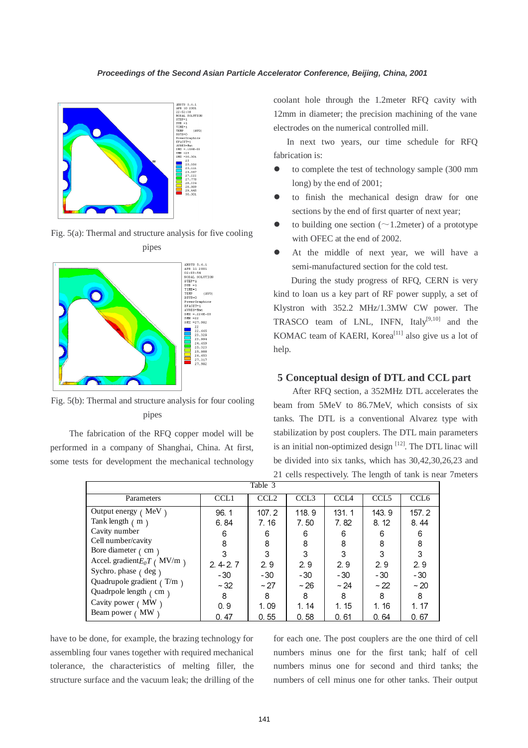

Fig. 5(a): Thermal and structure analysis for five cooling



Fig. 5(b): Thermal and structure analysis for four cooling pipes

The fabrication of the RFQ copper model will be performed in a company of Shanghai, China. At first, some tests for development the mechanical technology coolant hole through the 1.2meter RFQ cavity with 12mm in diameter; the precision machining of the vane electrodes on the numerical controlled mill.

 In next two years, our time schedule for RFQ fabrication is:

- to complete the test of technology sample (300 mm long) by the end of 2001;
- to finish the mechanical design draw for one sections by the end of first quarter of next year;
- to building one section ( $\sim$ 1.2meter) of a prototype with OFEC at the end of 2002.
- At the middle of next year, we will have a semi-manufactured section for the cold test.

During the study progress of RFQ, CERN is very kind to loan us a key part of RF power supply, a set of Klystron with 352.2 MHz/1.3MW CW power. The TRASCO team of LNL, INFN, Italy<sup>[9,10]</sup> and the KOMAC team of KAERI, Korea<sup>[11]</sup> also give us a lot of help.

### **5 Conceptual design of DTL and CCL part**

After RFQ section, a 352MHz DTL accelerates the beam from 5MeV to 86.7MeV, which consists of six tanks. The DTL is a conventional Alvarez type with stabilization by post couplers. The DTL main parameters is an initial non-optimized design  $[12]$ . The DTL linac will be divided into six tanks, which has 30,42,30,26,23 and 21 cells respectively. The length of tank is near 7meters

| Table 3                        |                  |                  |                  |                  |                  |                  |  |  |
|--------------------------------|------------------|------------------|------------------|------------------|------------------|------------------|--|--|
| Parameters                     | CCL <sub>1</sub> | CCL <sub>2</sub> | CCL <sub>3</sub> | CCI <sub>A</sub> | CCL <sub>5</sub> | CCL <sub>6</sub> |  |  |
| Output energy $($ MeV $)$      | 96.1             | 107.2            | 118.9            | 131.1            | 143.9            | 157.2            |  |  |
| Tank length $(m)$              | 6.84             | 7.16             | 7.50             | 7.82             | 8.12             | 8.44             |  |  |
| Cavity number                  | 6                | 6                | 6                | 6                | 6                | 6                |  |  |
| Cell number/cavity             | 8                | 8                | 8                | 8                | 8                | 8                |  |  |
| Bore diameter $\ell$ cm $\ell$ | 3                | 3                | 3                | 3                | 3                | 3                |  |  |
| Accel. gradient $E_0T$ (MV/m)  | 2.42.7           | 2.9              | 2.9              | 2.9              | 2.9              | 2.9              |  |  |
| Sychro. phase (deg)            | $-30$            | $-30$            | $-30$            | $-30$            | - 30             | $-30$            |  |  |
| Quadrupole gradient $( T/m )$  | $~1$ - 32        | ~27              | $~1$ 26          | ~24              | ~22              | $~1$ - 20        |  |  |
| Quadrpole length (cm)          | 8                | 8                | 8                | 8                | 8                | 8                |  |  |
| Cavity power (MW)              | 0.9              | 1.09             | 1.14             | 1.15             | 1.16             | 1.17             |  |  |
| MW<br>Beam power (             | 0.47             | 0.55             | 0.58             | 0.61             | 0.64             | 0.67             |  |  |

have to be done, for example, the brazing technology for assembling four vanes together with required mechanical tolerance, the characteristics of melting filler, the structure surface and the vacuum leak; the drilling of the for each one. The post couplers are the one third of cell numbers minus one for the first tank; half of cell numbers minus one for second and third tanks; the numbers of cell minus one for other tanks. Their output